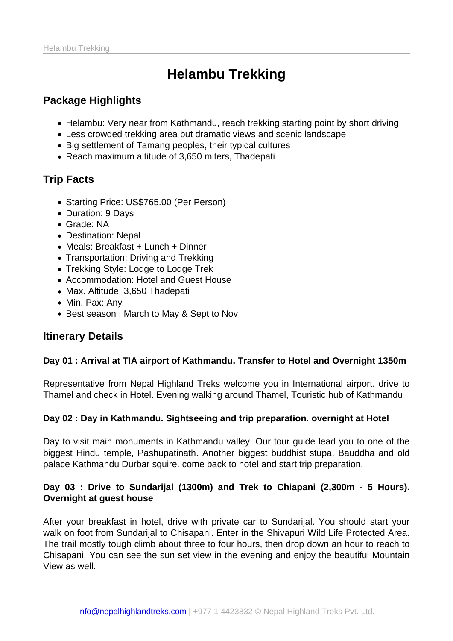# Helambu Trekking

# Package Highlights

- Helambu: Very near from Kathmandu, reach trekking starting point by short driving
- Less crowded trekking area but dramatic views and scenic landscape
- Big settlement of Tamang peoples, their typical cultures
- Reach maximum altitude of 3,650 miters, Thadepati

# Trip Facts

- Starting Price: US\$765.00 (Per Person)
- Duration: 9 Days
- Grade: NA
- Destination: Nepal
- Meals: Breakfast + Lunch + Dinner
- Transportation: Driving and Trekking
- Trekking Style: Lodge to Lodge Trek
- Accommodation: Hotel and Guest House
- Max. Altitude: 3,650 Thadepati
- Min. Pax: Any
- Best season : March to May & Sept to Nov

#### Itinerary Details

Day 01 : Arrival at TIA airport of Kathmandu. Transfer to Hotel and Overnight 1350m

Representative from Nepal Highland Treks welcome you in International airport. drive to Thamel and check in Hotel. Evening walking around Thamel, Touristic hub of Kathmandu

Day 02 : Day in Kathmandu. Sightseeing and trip preparation. overnight at Hotel

Day to visit main monuments in Kathmandu valley. Our tour guide lead you to one of the biggest Hindu temple, Pashupatinath. Another biggest buddhist stupa, Bauddha and old palace Kathmandu Durbar squire. come back to hotel and start trip preparation.

Day 03 : Drive to Sundarijal (1300m) and Trek to Chiapani (2,300m - 5 Hours). Overnight at guest house

After your breakfast in hotel, drive with private car to Sundarijal. You should start your walk on foot from Sundarijal to Chisapani. Enter in the Shivapuri Wild Life Protected Area. The trail mostly tough climb about three to four hours, then drop down an hour to reach to Chisapani. You can see the sun set view in the evening and enjoy the beautiful Mountain View as well.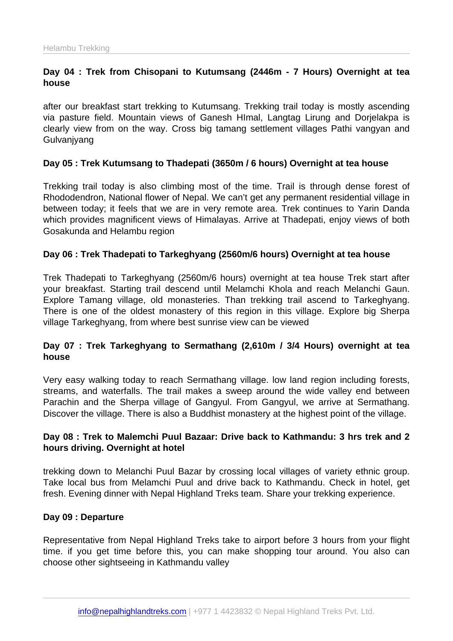Day 04 : Trek from Chisopani to Kutumsang (2446m - 7 Hours) Overnight at tea house

after our breakfast start trekking to Kutumsang. Trekking trail today is mostly ascending via pasture field. Mountain views of Ganesh HImal, Langtag Lirung and Dorjelakpa is clearly view from on the way. Cross big tamang settlement villages Pathi vangyan and **Gulvanjyang** 

Day 05 : Trek Kutumsang to Thadepati (3650m / 6 hours) Overnight at tea house

Trekking trail today is also climbing most of the time. Trail is through dense forest of Rhododendron, National flower of Nepal. We can't get any permanent residential village in between today; it feels that we are in very remote area. Trek continues to Yarin Danda which provides magnificent views of Himalayas. Arrive at Thadepati, enjoy views of both Gosakunda and Helambu region

Day 06 : Trek Thadepati to Tarkeghyang (2560m/6 hours) Overnight at tea house

Trek Thadepati to Tarkeghyang (2560m/6 hours) overnight at tea house Trek start after your breakfast. Starting trail descend until Melamchi Khola and reach Melanchi Gaun. Explore Tamang village, old monasteries. Than trekking trail ascend to Tarkeghyang. There is one of the oldest monastery of this region in this village. Explore big Sherpa village Tarkeghyang, from where best sunrise view can be viewed

Day 07 : Trek Tarkeghyang to Sermathang (2,610m / 3/4 Hours) overnight at tea house

Very easy walking today to reach Sermathang village. low land region including forests, streams, and waterfalls. The trail makes a sweep around the wide valley end between Parachin and the Sherpa village of Gangyul. From Gangyul, we arrive at Sermathang. Discover the village. There is also a Buddhist monastery at the highest point of the village.

Day 08 : Trek to Malemchi Puul Bazaar: Drive back to Kathmandu: 3 hrs trek and 2 hours driving. Overnight at hotel

trekking down to Melanchi Puul Bazar by crossing local villages of variety ethnic group. Take local bus from Melamchi Puul and drive back to Kathmandu. Check in hotel, get fresh. Evening dinner with Nepal Highland Treks team. Share your trekking experience.

Day 09 : Departure

Representative from Nepal Highland Treks take to airport before 3 hours from your flight time. if you get time before this, you can make shopping tour around. You also can choose other sightseeing in Kathmandu valley